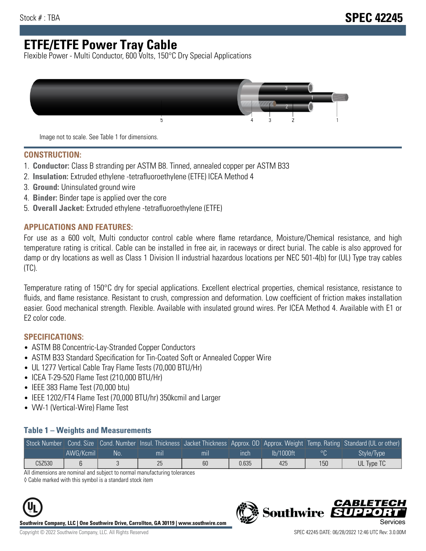# **ETFE/ETFE Power Tray Cable**

Flexible Power - Multi Conductor, 600 Volts, 150°C Dry Special Applications



Image not to scale. See Table 1 for dimensions.

#### **CONSTRUCTION:**

- 1. **Conductor:** Class B stranding per ASTM B8. Tinned, annealed copper per ASTM B33
- 2. **Insulation:** Extruded ethylene -tetrafluoroethylene (ETFE) ICEA Method 4
- 3. **Ground:** Uninsulated ground wire
- 4. **Binder:** Binder tape is applied over the core
- 5. **Overall Jacket:** Extruded ethylene -tetrafluoroethylene (ETFE)

### **APPLICATIONS AND FEATURES:**

For use as a 600 volt, Multi conductor control cable where flame retardance, Moisture/Chemical resistance, and high temperature rating is critical. Cable can be installed in free air, in raceways or direct burial. The cable is also approved for damp or dry locations as well as Class 1 Division II industrial hazardous locations per NEC 501-4(b) for (UL) Type tray cables (TC).

Temperature rating of 150°C dry for special applications. Excellent electrical properties, chemical resistance, resistance to fluids, and flame resistance. Resistant to crush, compression and deformation. Low coefficient of friction makes installation easier. Good mechanical strength. Flexible. Available with insulated ground wires. Per ICEA Method 4. Available with E1 or E2 color code.

### **SPECIFICATIONS:**

- ASTM B8 Concentric-Lay-Stranded Copper Conductors
- ASTM B33 Standard Specification for Tin-Coated Soft or Annealed Copper Wire
- UL 1277 Vertical Cable Tray Flame Tests (70,000 BTU/Hr)
- ICEA T-29-520 Flame Test (210,000 BTU/Hr)
- IEEE 383 Flame Test (70,000 btu)
- IEEE 1202/FT4 Flame Test (70,000 BTU/hr) 350kcmil and Larger
- VW-1 (Vertical-Wire) Flame Test

#### **Table 1 – Weights and Measurements**

| Stock Number |           |    |     |     |       |           |     | Cond. Size Cond. Number Insul. Thickness Jacket Thickness Approx. OD Approx. Weight Temp. Rating Standard (UL or other) |
|--------------|-----------|----|-----|-----|-------|-----------|-----|-------------------------------------------------------------------------------------------------------------------------|
|              | AWG/Kcmil | No | mıl | mil | ınch  | lb/1000ft | ്റ  | Style/Type                                                                                                              |
| C5Z530       |           |    | 25  | 60  | 0.635 | 425       | 150 | UL Type TC                                                                                                              |

All dimensions are nominal and subject to normal manufacturing tolerances

◊ Cable marked with this symbol is a standard stock item



**Southwire Company, LLC | One Southwire Drive, Carrollton, GA 30119 | www.southwire.com**



CARLET